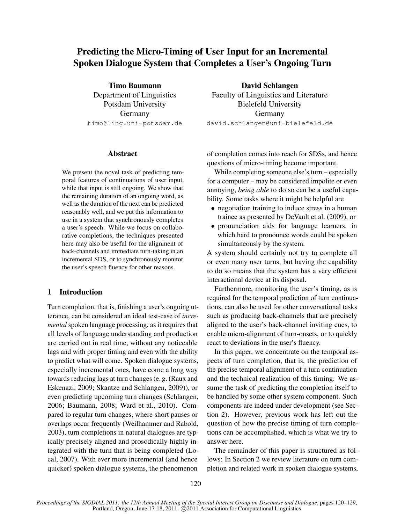# Predicting the Micro-Timing of User Input for an Incremental Spoken Dialogue System that Completes a User's Ongoing Turn

Timo Baumann Department of Linguistics Potsdam University Germany timo@ling.uni-potsdam.de

David Schlangen Faculty of Linguistics and Literature Bielefeld University Germany david.schlangen@uni-bielefeld.de

#### Abstract

We present the novel task of predicting temporal features of continuations of user input, while that input is still ongoing. We show that the remaining duration of an ongoing word, as well as the duration of the next can be predicted reasonably well, and we put this information to use in a system that synchronously completes a user's speech. While we focus on collaborative completions, the techniques presented here may also be useful for the alignment of back-channels and immediate turn-taking in an incremental SDS, or to synchronously monitor the user's speech fluency for other reasons.

# 1 Introduction

Turn completion, that is, finishing a user's ongoing utterance, can be considered an ideal test-case of *incremental* spoken language processing, as it requires that all levels of language understanding and production are carried out in real time, without any noticeable lags and with proper timing and even with the ability to predict what will come. Spoken dialogue systems, especially incremental ones, have come a long way towards reducing lags at turn changes (e. g. (Raux and Eskenazi, 2009; Skantze and Schlangen, 2009)), or even predicting upcoming turn changes (Schlangen, 2006; Baumann, 2008; Ward et al., 2010). Compared to regular turn changes, where short pauses or overlaps occur frequently (Weilhammer and Rabold, 2003), turn completions in natural dialogues are typically precisely aligned and prosodically highly integrated with the turn that is being completed (Local, 2007). With ever more incremental (and hence quicker) spoken dialogue systems, the phenomenon

of completion comes into reach for SDSs, and hence questions of micro-timing become important.

While completing someone else's turn – especially for a computer – may be considered impolite or even annoying, *being able* to do so can be a useful capability. Some tasks where it might be helpful are

- negotiation training to induce stress in a human trainee as presented by DeVault et al. (2009), or
- pronunciation aids for language learners, in which hard to pronounce words could be spoken simultaneously by the system.

A system should certainly not try to complete all or even many user turns, but having the capability to do so means that the system has a very efficient interactional device at its disposal.

Furthermore, monitoring the user's timing, as is required for the temporal prediction of turn continuations, can also be used for other conversational tasks such as producing back-channels that are precisely aligned to the user's back-channel inviting cues, to enable micro-alignment of turn-onsets, or to quickly react to deviations in the user's fluency.

In this paper, we concentrate on the temporal aspects of turn completion, that is, the prediction of the precise temporal alignment of a turn continuation and the technical realization of this timing. We assume the task of predicting the completion itself to be handled by some other system component. Such components are indeed under development (see Section 2). However, previous work has left out the question of how the precise timing of turn completions can be accomplished, which is what we try to answer here.

The remainder of this paper is structured as follows: In Section 2 we review literature on turn completion and related work in spoken dialogue systems,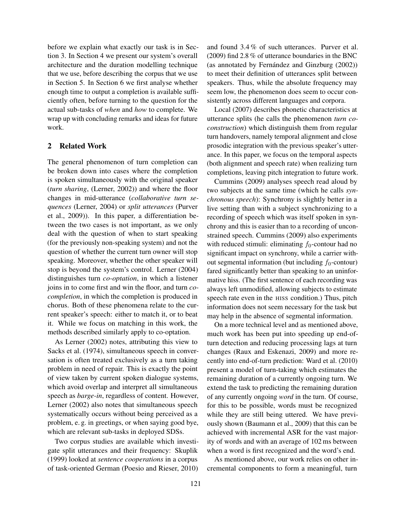before we explain what exactly our task is in Section 3. In Section 4 we present our system's overall architecture and the duration modelling technique that we use, before describing the corpus that we use in Section 5. In Section 6 we first analyse whether enough time to output a completion is available sufficiently often, before turning to the question for the actual sub-tasks of *when* and *how* to complete. We wrap up with concluding remarks and ideas for future work.

# 2 Related Work

The general phenomenon of turn completion can be broken down into cases where the completion is spoken simultaneously with the original speaker (*turn sharing*, (Lerner, 2002)) and where the floor changes in mid-utterance (*collaborative turn sequences* (Lerner, 2004) or *split utterances* (Purver et al., 2009)). In this paper, a differentiation between the two cases is not important, as we only deal with the question of when to start speaking (for the previously non-speaking system) and not the question of whether the current turn owner will stop speaking. Moreover, whether the other speaker will stop is beyond the system's control. Lerner (2004) distinguishes turn *co-optation*, in which a listener joins in to come first and win the floor, and turn *cocompletion*, in which the completion is produced in chorus. Both of these phenomena relate to the current speaker's speech: either to match it, or to beat it. While we focus on matching in this work, the methods described similarly apply to co-optation.

As Lerner (2002) notes, attributing this view to Sacks et al. (1974), simultaneous speech in conversation is often treated exclusively as a turn taking problem in need of repair. This is exactly the point of view taken by current spoken dialogue systems, which avoid overlap and interpret all simultaneous speech as *barge-in*, regardless of content. However, Lerner (2002) also notes that simultaneous speech systematically occurs without being perceived as a problem, e. g. in greetings, or when saying good bye, which are relevant sub-tasks in deployed SDSs.

Two corpus studies are available which investigate split utterances and their frequency: Skuplik (1999) looked at *sentence cooperations* in a corpus of task-oriented German (Poesio and Rieser, 2010) and found 3.4 % of such utterances. Purver et al. (2009) find 2.8 % of utterance boundaries in the BNC (as annotated by Fernández and Ginzburg  $(2002)$ ) to meet their definition of utterances split between speakers. Thus, while the absolute frequency may seem low, the phenomenon does seem to occur consistently across different languages and corpora.

Local (2007) describes phonetic characteristics at utterance splits (he calls the phenomenon *turn coconstruction*) which distinguish them from regular turn handovers, namely temporal alignment and close prosodic integration with the previous speaker's utterance. In this paper, we focus on the temporal aspects (both alignment and speech rate) when realizing turn completions, leaving pitch integration to future work.

Cummins (2009) analyses speech read aloud by two subjects at the same time (which he calls *synchronous speech*): Synchrony is slightly better in a live setting than with a subject synchronizing to a recording of speech which was itself spoken in synchrony and this is easier than to a recording of unconstrained speech. Cummins (2009) also experiments with reduced stimuli: eliminating  $f_0$ -contour had no significant impact on synchrony, while a carrier without segmental information (but including  $f_0$ -contour) fared significantly better than speaking to an uninformative hiss. (The first sentence of each recording was always left unmodified, allowing subjects to estimate speech rate even in the HISS condition.) Thus, pitch information does not seem necessary for the task but may help in the absence of segmental information.

On a more technical level and as mentioned above, much work has been put into speeding up end-ofturn detection and reducing processing lags at turn changes (Raux and Eskenazi, 2009) and more recently into end-of-turn prediction: Ward et al. (2010) present a model of turn-taking which estimates the remaining duration of a currently ongoing turn. We extend the task to predicting the remaining duration of any currently ongoing *word* in the turn. Of course, for this to be possible, words must be recognized while they are still being uttered. We have previously shown (Baumann et al., 2009) that this can be achieved with incremental ASR for the vast majority of words and with an average of 102 ms between when a word is first recognized and the word's end.

As mentioned above, our work relies on other incremental components to form a meaningful, turn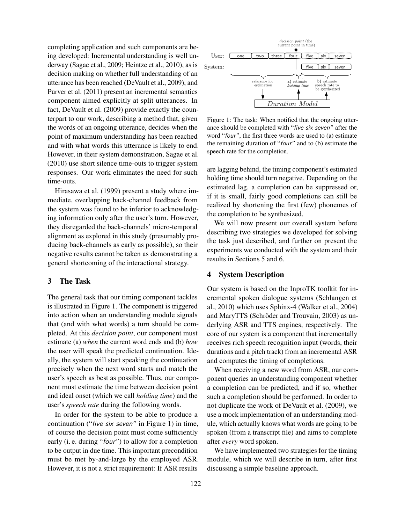completing application and such components are being developed: Incremental understanding is well underway (Sagae et al., 2009; Heintze et al., 2010), as is decision making on whether full understanding of an utterance has been reached (DeVault et al., 2009), and Purver et al. (2011) present an incremental semantics component aimed explicitly at split utterances. In fact, DeVault et al. (2009) provide exactly the counterpart to our work, describing a method that, given the words of an ongoing utterance, decides when the point of maximum understanding has been reached and with what words this utterance is likely to end. However, in their system demonstration, Sagae et al. (2010) use short silence time-outs to trigger system responses. Our work eliminates the need for such time-outs.

Hirasawa et al. (1999) present a study where immediate, overlapping back-channel feedback from the system was found to be inferior to acknowledging information only after the user's turn. However, they disregarded the back-channels' micro-temporal alignment as explored in this study (presumably producing back-channels as early as possible), so their negative results cannot be taken as demonstrating a general shortcoming of the interactional strategy.

# 3 The Task

The general task that our timing component tackles is illustrated in Figure 1. The component is triggered into action when an understanding module signals that (and with what words) a turn should be completed. At this *decision point*, our component must estimate (a) *when* the current word ends and (b) *how* the user will speak the predicted continuation. Ideally, the system will start speaking the continuation precisely when the next word starts and match the user's speech as best as possible. Thus, our component must estimate the time between decision point and ideal onset (which we call *holding time*) and the user's *speech rate* during the following words.

In order for the system to be able to produce a continuation ("five six seven*"* in Figure 1) in time, of course the decision point must come sufficiently early (i. e. during "four*"*) to allow for a completion to be output in due time. This important precondition must be met by-and-large by the employed ASR. However, it is not a strict requirement: If ASR results



Figure 1: The task: When notified that the ongoing utterance should be completed with "five six seven*"* after the word "four*"*, the first three words are used to (a) estimate the remaining duration of "four*"* and to (b) estimate the speech rate for the completion.

are lagging behind, the timing component's estimated holding time should turn negative. Depending on the estimated lag, a completion can be suppressed or, if it is small, fairly good completions can still be realized by shortening the first (few) phonemes of the completion to be synthesized.

We will now present our overall system before describing two strategies we developed for solving the task just described, and further on present the experiments we conducted with the system and their results in Sections 5 and 6.

## 4 System Description

Our system is based on the InproTK toolkit for incremental spoken dialogue systems (Schlangen et al., 2010) which uses Sphinx-4 (Walker et al., 2004) and MaryTTS (Schröder and Trouvain, 2003) as underlying ASR and TTS engines, respectively. The core of our system is a component that incrementally receives rich speech recognition input (words, their durations and a pitch track) from an incremental ASR and computes the timing of completions.

When receiving a new word from ASR, our component queries an understanding component whether a completion can be predicted, and if so, whether such a completion should be performed. In order to not duplicate the work of DeVault et al. (2009), we use a mock implementation of an understanding module, which actually knows what words are going to be spoken (from a transcript file) and aims to complete after *every* word spoken.

We have implemented two strategies for the timing module, which we will describe in turn, after first discussing a simple baseline approach.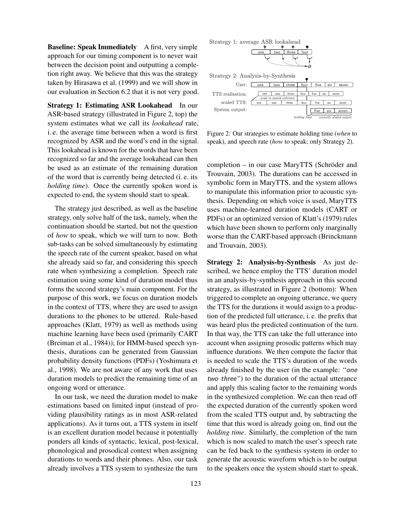Baseline: Speak Immediately A first, very simple approach for our timing component is to never wait between the decision point and outputting a completion right away. We believe that this was the strategy taken by Hirasawa et al. (1999) and we will show in our evaluation in Section 6.2 that it is not very good.

Strategy 1: Estimating ASR Lookahead In our ASR-based strategy (illustrated in Figure 2, top) the system estimates what we call its *lookahead* rate, i. e. the average time between when a word is first recognized by ASR and the word's end in the signal. This lookahead is known for the words that have been recognized so far and the average lookahead can then be used as an estimate of the remaining duration of the word that is currently being detected (i. e. its *holding time*). Once the currently spoken word is expected to end, the system should start to speak.

The strategy just described, as well as the baseline strategy, only solve half of the task, namely, when the continuation should be started, but not the question of *how* to speak, which we will turn to now. Both sub-tasks can be solved simultaneously by estimating the speech rate of the current speaker, based on what she already said so far, and considering this speech rate when synthesizing a completion. Speech rate estimation using some kind of duration model thus forms the second strategy's main component. For the purpose of this work, we focus on duration models in the context of TTS, where they are used to assign durations to the phones to be uttered. Rule-based approaches (Klatt, 1979) as well as methods using machine learning have been used (primarily CART (Breiman et al., 1984)); for HMM-based speech synthesis, durations can be generated from Gaussian probability density functions (PDFs) (Yoshimura et al., 1998). We are not aware of any work that uses duration models to predict the remaining time of an ongoing word or utterance.

In our task, we need the duration model to make estimations based on limited input (instead of providing plausibility ratings as in most ASR-related applications). As it turns out, a TTS system in itself is an excellent duration model because it potentially ponders all kinds of syntactic, lexical, post-lexical, phonological and prosodical context when assigning durations to words and their phones. Also, our task already involves a TTS system to synthesize the turn



Figure 2: Our strategies to estimate holding time (*when* to speak), and speech rate (*how* to speak; only Strategy 2).

 $completion - in our case MaryTTS (Schröder and)$ Trouvain, 2003). The durations can be accessed in symbolic form in MaryTTS, and the system allows to manipulate this information prior to acoustic synthesis. Depending on which voice is used, MaryTTS uses machine-learned duration models (CART or PDFs) or an optimized version of Klatt's (1979) rules which have been shown to perform only marginally worse than the CART-based approach (Brinckmann and Trouvain, 2003).

Strategy 2: Analysis-by-Synthesis As just described, we hence employ the TTS' duration model in an analysis-by-synthesis approach in this second strategy, as illustrated in Figure 2 (bottom): When triggered to complete an ongoing utterance, we query the TTS for the durations it would assign to a production of the predicted full utterance, i. e. the prefix that was heard plus the predicted continuation of the turn. In that way, the TTS can take the full utterance into account when assigning prosodic patterns which may influence durations. We then compute the factor that is needed to scale the TTS's duration of the words already finished by the user (in the example: "one two three*"*) to the duration of the actual utterance and apply this scaling factor to the remaining words in the synthesized completion. We can then read off the expected duration of the currently spoken word from the scaled TTS output and, by subtracting the time that this word is already going on, find out the *holding time*. Similarly, the completion of the turn which is now scaled to match the user's speech rate can be fed back to the synthesis system in order to generate the acoustic waveform which is to be output to the speakers once the system should start to speak.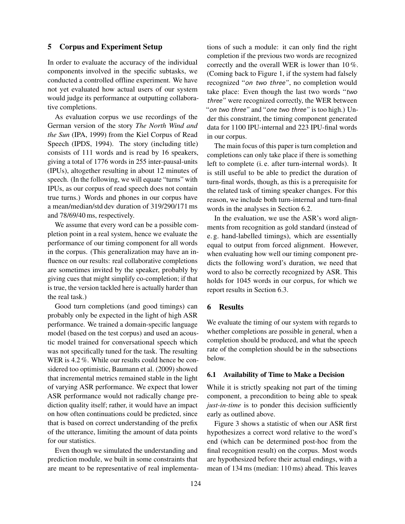#### 5 Corpus and Experiment Setup

In order to evaluate the accuracy of the individual components involved in the specific subtasks, we conducted a controlled offline experiment. We have not yet evaluated how actual users of our system would judge its performance at outputting collaborative completions.

As evaluation corpus we use recordings of the German version of the story *The North Wind and the Sun* (IPA, 1999) from the Kiel Corpus of Read Speech (IPDS, 1994). The story (including title) consists of 111 words and is read by 16 speakers, giving a total of 1776 words in 255 inter-pausal-units (IPUs), altogether resulting in about 12 minutes of speech. (In the following, we will equate "turns" with IPUs, as our corpus of read speech does not contain true turns.) Words and phones in our corpus have a mean/median/std dev duration of 319/290/171 ms and 78/69/40 ms, respectively.

We assume that every word can be a possible completion point in a real system, hence we evaluate the performance of our timing component for all words in the corpus. (This generalization may have an influence on our results: real collaborative completions are sometimes invited by the speaker, probably by giving cues that might simplify co-completion; if that is true, the version tackled here is actually harder than the real task.)

Good turn completions (and good timings) can probably only be expected in the light of high ASR performance. We trained a domain-specific language model (based on the test corpus) and used an acoustic model trained for conversational speech which was not specifically tuned for the task. The resulting WER is 4.2%. While our results could hence be considered too optimistic, Baumann et al. (2009) showed that incremental metrics remained stable in the light of varying ASR performance. We expect that lower ASR performance would not radically change prediction quality itself; rather, it would have an impact on how often continuations could be predicted, since that is based on correct understanding of the prefix of the utterance, limiting the amount of data points for our statistics.

Even though we simulated the understanding and prediction module, we built in some constraints that are meant to be representative of real implementations of such a module: it can only find the right completion if the previous two words are recognized correctly and the overall WER is lower than 10 %. (Coming back to Figure 1, if the system had falsely recognized "on two three*"*, no completion would take place: Even though the last two words "two three*"* were recognized correctly, the WER between "on two three*"* and "one two three*"* is too high.) Under this constraint, the timing component generated data for 1100 IPU-internal and 223 IPU-final words in our corpus.

The main focus of this paper is turn completion and completions can only take place if there is something left to complete (i. e. after turn-internal words). It is still useful to be able to predict the duration of turn-final words, though, as this is a prerequisite for the related task of timing speaker changes. For this reason, we include both turn-internal and turn-final words in the analyses in Section 6.2.

In the evaluation, we use the ASR's word alignments from recognition as gold standard (instead of e. g. hand-labelled timings), which are essentially equal to output from forced alignment. However, when evaluating how well our timing component predicts the following word's duration, we need that word to also be correctly recognized by ASR. This holds for 1045 words in our corpus, for which we report results in Section 6.3.

## 6 Results

We evaluate the timing of our system with regards to whether completions are possible in general, when a completion should be produced, and what the speech rate of the completion should be in the subsections below.

#### 6.1 Availability of Time to Make a Decision

While it is strictly speaking not part of the timing component, a precondition to being able to speak *just-in-time* is to ponder this decision sufficiently early as outlined above.

Figure 3 shows a statistic of when our ASR first hypothesizes a correct word relative to the word's end (which can be determined post-hoc from the final recognition result) on the corpus. Most words are hypothesized before their actual endings, with a mean of 134 ms (median: 110 ms) ahead. This leaves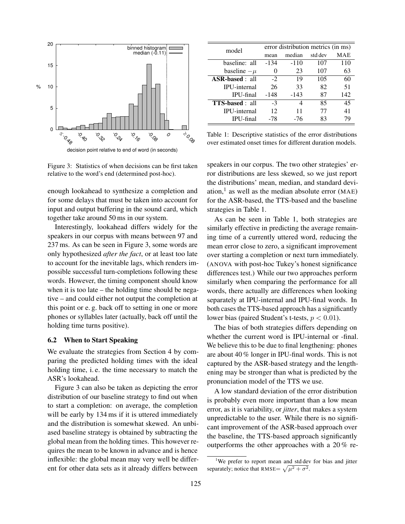

Figure 3: Statistics of when decisions can be first taken relative to the word's end (determined post-hoc).

enough lookahead to synthesize a completion and for some delays that must be taken into account for input and output buffering in the sound card, which together take around 50 ms in our system.

Interestingly, lookahead differs widely for the speakers in our corpus with means between 97 and 237 ms. As can be seen in Figure 3, some words are only hypothesized *after the fact*, or at least too late to account for the inevitable lags, which renders impossible successful turn-completions following these words. However, the timing component should know when it is too late – the holding time should be negative – and could either not output the completion at this point or e. g. back off to setting in one or more phones or syllables later (actually, back off until the holding time turns positive).

#### 6.2 When to Start Speaking

We evaluate the strategies from Section 4 by comparing the predicted holding times with the ideal holding time, i. e. the time necessary to match the ASR's lookahead.

Figure 3 can also be taken as depicting the error distribution of our baseline strategy to find out when to start a completion: on average, the completion will be early by 134 ms if it is uttered immediately and the distribution is somewhat skewed. An unbiased baseline strategy is obtained by subtracting the global mean from the holding times. This however requires the mean to be known in advance and is hence inflexible: the global mean may very well be different for other data sets as it already differs between

| model                  | error distribution metrics (in ms) |        |         |     |  |
|------------------------|------------------------------------|--------|---------|-----|--|
|                        | mean                               | median | std dev | MAE |  |
| baseline: all          | $-134$                             | $-110$ | 107     | 110 |  |
| baseline $-\mu$        | 0                                  | 23     | 107     | 63  |  |
| <b>ASR-based</b> : all | $-2$                               | 19     | 105     | 60  |  |
| <b>IPU-internal</b>    | 26                                 | 33     | 82      | 51  |  |
| IPU-final              | $-148$                             | -143   | 87      | 142 |  |
| <b>TTS-based</b> : all | $-3$                               | 4      | 85      | 45  |  |
| <b>IPU-internal</b>    | 12                                 | 11     | 77      | 41  |  |
| IPU-final              | -78                                | -76    | 83      | 79  |  |

Table 1: Descriptive statistics of the error distributions over estimated onset times for different duration models.

speakers in our corpus. The two other strategies' error distributions are less skewed, so we just report the distributions' mean, median, and standard deviation,<sup>1</sup> as well as the median absolute error (MAE) for the ASR-based, the TTS-based and the baseline strategies in Table 1.

As can be seen in Table 1, both strategies are similarly effective in predicting the average remaining time of a currently uttered word, reducing the mean error close to zero, a significant improvement over starting a completion or next turn immediately. (ANOVA with post-hoc Tukey's honest significance differences test.) While our two approaches perform similarly when comparing the performance for all words, there actually are differences when looking separately at IPU-internal and IPU-final words. In both cases the TTS-based approach has a significantly lower bias (paired Student's t-tests,  $p < 0.01$ ).

The bias of both strategies differs depending on whether the current word is IPU-internal or -final. We believe this to be due to final lengthening: phones are about 40 % longer in IPU-final words. This is not captured by the ASR-based strategy and the lengthening may be stronger than what is predicted by the pronunciation model of the TTS we use.

A low standard deviation of the error distribution is probably even more important than a low mean error, as it is variability, or *jitter*, that makes a system unpredictable to the user. While there is no significant improvement of the ASR-based approach over the baseline, the TTS-based approach significantly outperforms the other approaches with a 20 % re-

<sup>&</sup>lt;sup>1</sup>We prefer to report mean and std dev for bias and jitter separately; notice that RMSE=  $\sqrt{\mu^2 + \sigma^2}$ .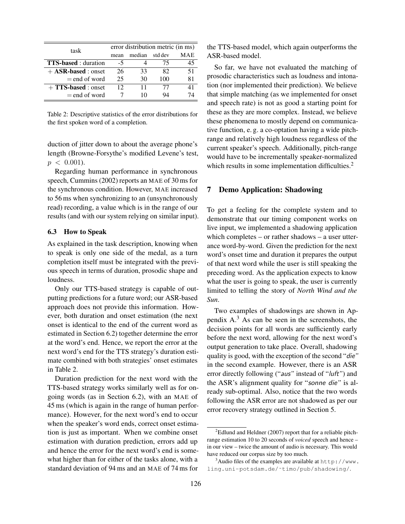| task                        | error distribution metric (in ms) |        |         |     |
|-----------------------------|-----------------------------------|--------|---------|-----|
|                             | mean                              | median | std dev | MAE |
| <b>TTS-based</b> : duration | $-5$                              |        | 75      | 45  |
| $+$ ASR-based : onset       | 26                                | 33     | 82      | 51  |
| $=$ end of word             | 25                                | 30     | 100     | 81  |
| $+ TTS-based: onset$        | 12                                | 11     | 77      | 41  |
| $=$ end of word             |                                   | 10     | 94      | 74  |

Table 2: Descriptive statistics of the error distributions for the first spoken word of a completion.

duction of jitter down to about the average phone's length (Browne-Forsythe's modified Levene's test,  $p < 0.001$ ).

Regarding human performance in synchronous speech, Cummins (2002) reports an MAE of 30 ms for the synchronous condition. However, MAE increased to 56 ms when synchronizing to an (unsynchronously read) recording, a value which is in the range of our results (and with our system relying on similar input).

#### 6.3 How to Speak

As explained in the task description, knowing when to speak is only one side of the medal, as a turn completion itself must be integrated with the previous speech in terms of duration, prosodic shape and loudness.

Only our TTS-based strategy is capable of outputting predictions for a future word; our ASR-based approach does not provide this information. However, both duration and onset estimation (the next onset is identical to the end of the current word as estimated in Section 6.2) together determine the error at the word's end. Hence, we report the error at the next word's end for the TTS strategy's duration estimate combined with both strategies' onset estimates in Table 2.

Duration prediction for the next word with the TTS-based strategy works similarly well as for ongoing words (as in Section 6.2), with an MAE of 45 ms (which is again in the range of human performance). However, for the next word's end to occur when the speaker's word ends, correct onset estimation is just as important. When we combine onset estimation with duration prediction, errors add up and hence the error for the next word's end is somewhat higher than for either of the tasks alone, with a standard deviation of 94 ms and an MAE of 74 ms for the TTS-based model, which again outperforms the ASR-based model.

So far, we have not evaluated the matching of prosodic characteristics such as loudness and intonation (nor implemented their prediction). We believe that simple matching (as we implemented for onset and speech rate) is not as good a starting point for these as they are more complex. Instead, we believe these phenomena to mostly depend on communicative function, e. g. a co-optation having a wide pitchrange and relatively high loudness regardless of the current speaker's speech. Additionally, pitch-range would have to be incrementally speaker-normalized which results in some implementation difficulties.<sup>2</sup>

#### 7 Demo Application: Shadowing

To get a feeling for the complete system and to demonstrate that our timing component works on live input, we implemented a shadowing application which completes – or rather shadows – a user utterance word-by-word. Given the prediction for the next word's onset time and duration it prepares the output of that next word while the user is still speaking the preceding word. As the application expects to know what the user is going to speak, the user is currently limited to telling the story of *North Wind and the Sun*.

Two examples of shadowings are shown in Appendix  $A<sup>3</sup>$ . As can be seen in the screenshots, the decision points for all words are sufficiently early before the next word, allowing for the next word's output generation to take place. Overall, shadowing quality is good, with the exception of the second "die*"* in the second example. However, there is an ASR error directly following ("aus*"* instead of "luft*"*) and the ASR's alignment quality for "sonne die*"* is already sub-optimal. Also, notice that the two words following the ASR error are not shadowed as per our error recovery strategy outlined in Section 5.

 $2$ Edlund and Heldner (2007) report that for a reliable pitchrange estimation 10 to 20 seconds of *voiced* speech and hence – in our view – twice the amount of audio is necessary. This would have reduced our corpus size by too much.

 $3$ Audio files of the examples are available at http://www. ling.uni-potsdam.de/˜timo/pub/shadowing/.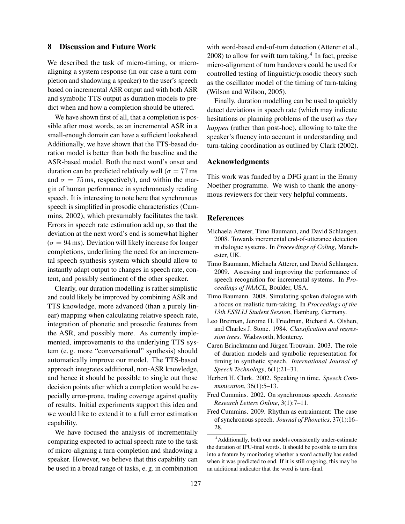#### 8 Discussion and Future Work

We described the task of micro-timing, or microaligning a system response (in our case a turn completion and shadowing a speaker) to the user's speech based on incremental ASR output and with both ASR and symbolic TTS output as duration models to predict when and how a completion should be uttered.

We have shown first of all, that a completion is possible after most words, as an incremental ASR in a small-enough domain can have a sufficient lookahead. Additionally, we have shown that the TTS-based duration model is better than both the baseline and the ASR-based model. Both the next word's onset and duration can be predicted relatively well ( $\sigma = 77$  ms and  $\sigma = 75$  ms, respectively), and within the margin of human performance in synchronously reading speech. It is interesting to note here that synchronous speech is simplified in prosodic characteristics (Cummins, 2002), which presumably facilitates the task. Errors in speech rate estimation add up, so that the deviation at the next word's end is somewhat higher  $(\sigma = 94 \,\text{ms})$ . Deviation will likely increase for longer completions, underlining the need for an incremental speech synthesis system which should allow to instantly adapt output to changes in speech rate, content, and possibly sentiment of the other speaker.

Clearly, our duration modelling is rather simplistic and could likely be improved by combining ASR and TTS knowledge, more advanced (than a purely linear) mapping when calculating relative speech rate, integration of phonetic and prosodic features from the ASR, and possibly more. As currently implemented, improvements to the underlying TTS system (e. g. more "conversational" synthesis) should automatically improve our model. The TTS-based approach integrates additional, non-ASR knowledge, and hence it should be possible to single out those decision points after which a completion would be especially error-prone, trading coverage against quality of results. Initial experiments support this idea and we would like to extend it to a full error estimation capability.

We have focused the analysis of incrementally comparing expected to actual speech rate to the task of micro-aligning a turn-completion and shadowing a speaker. However, we believe that this capability can be used in a broad range of tasks, e. g. in combination

with word-based end-of-turn detection (Atterer et al., 2008) to allow for swift turn taking.<sup>4</sup> In fact, precise micro-alignment of turn handovers could be used for controlled testing of linguistic/prosodic theory such as the oscillator model of the timing of turn-taking (Wilson and Wilson, 2005).

Finally, duration modelling can be used to quickly detect deviations in speech rate (which may indicate hesitations or planning problems of the user) *as they happen* (rather than post-hoc), allowing to take the speaker's fluency into account in understanding and turn-taking coordination as outlined by Clark (2002).

#### Acknowledgments

This work was funded by a DFG grant in the Emmy Noether programme. We wish to thank the anonymous reviewers for their very helpful comments.

#### References

- Michaela Atterer, Timo Baumann, and David Schlangen. 2008. Towards incremental end-of-utterance detection in dialogue systems. In *Proceedings of Coling*, Manchester, UK.
- Timo Baumann, Michaela Atterer, and David Schlangen. 2009. Assessing and improving the performance of speech recognition for incremental systems. In *Proceedings of NAACL*, Boulder, USA.
- Timo Baumann. 2008. Simulating spoken dialogue with a focus on realistic turn-taking. In *Proceedings of the 13th ESSLLI Student Session*, Hamburg, Germany.
- Leo Breiman, Jerome H. Friedman, Richard A. Olshen, and Charles J. Stone. 1984. *Classification and regression trees*. Wadsworth, Monterey.
- Caren Brinckmann and Jürgen Trouvain. 2003. The role of duration models and symbolic representation for timing in synthetic speech. *International Journal of Speech Technology*, 6(1):21–31.
- Herbert H. Clark. 2002. Speaking in time. *Speech Communication*, 36(1):5–13.
- Fred Cummins. 2002. On synchronous speech. *Acoustic Research Letters Online*, 3(1):7–11.
- Fred Cummins. 2009. Rhythm as entrainment: The case of synchronous speech. *Journal of Phonetics*, 37(1):16– 28.

<sup>4</sup>Additionally, both our models consistently under-estimate the duration of IPU-final words. It should be possible to turn this into a feature by monitoring whether a word actually has ended when it was predicted to end. If it is still ongoing, this may be an additional indicator that the word is turn-final.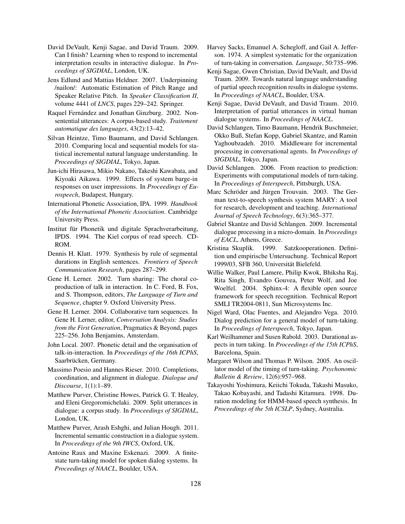- David DeVault, Kenji Sagae, and David Traum. 2009. Can I finish? Learning when to respond to incremental interpretation results in interactive dialogue. In *Proceedings of SIGDIAL*, London, UK.
- Jens Edlund and Mattias Heldner. 2007. Underpinning /nailon/: Automatic Estimation of Pitch Range and Speaker Relative Pitch. In *Speaker Classification II*, volume 4441 of *LNCS*, pages 229–242. Springer.
- Raquel Fernández and Jonathan Ginzburg. 2002. Nonsentential utterances: A corpus-based study. *Traitement automatique des languages*, 43(2):13–42.
- Silvan Heintze, Timo Baumann, and David Schlangen. 2010. Comparing local and sequential models for statistical incremental natural language understanding. In *Proceedings of SIGDIAL*, Tokyo, Japan.
- Jun-ichi Hirasawa, Mikio Nakano, Takeshi Kawabata, and Kiyoaki Aikawa. 1999. Effects of system barge-in responses on user impressions. In *Proceedings of Eurospeech*, Budapest, Hungary.
- International Phonetic Association, IPA. 1999. *Handbook of the International Phonetic Association*. Cambridge University Press.
- Institut für Phonetik und digitale Sprachverarbeitung, IPDS. 1994. The Kiel corpus of read speech. CD-ROM.
- Dennis H. Klatt. 1979. Synthesis by rule of segmental durations in English sentences. *Frontiers of Speech Communication Research*, pages 287–299.
- Gene H. Lerner. 2002. Turn sharing: The choral coproduction of talk in interaction. In C. Ford, B. Fox, and S. Thompson, editors, *The Language of Turn and Sequence*, chapter 9. Oxford University Press.
- Gene H. Lerner. 2004. Collaborative turn sequences. In Gene H. Lerner, editor, *Conversation Analysis: Studies from the First Generation*, Pragmatics & Beyond, pages 225–256. John Benjamins, Amsterdam.
- John Local. 2007. Phonetic detail and the organisation of talk-in-interaction. In *Proceedings of the 16th ICPhS*, Saarbrücken, Germany.
- Massimo Poesio and Hannes Rieser. 2010. Completions, coordination, and alignment in dialogue. *Dialogue and Discourse*, 1(1):1–89.
- Matthew Purver, Christine Howes, Patrick G. T. Healey, and Eleni Gregoromichelaki. 2009. Split utterances in dialogue: a corpus study. In *Proceedings of SIGDIAL*, London, UK.
- Matthew Purver, Arash Eshghi, and Julian Hough. 2011. Incremental semantic construction in a dialogue system. In *Proceedings of the 9th IWCS*, Oxford, UK.
- Antoine Raux and Maxine Eskenazi. 2009. A finitestate turn-taking model for spoken dialog systems. In *Proceedings of NAACL*, Boulder, USA.
- Harvey Sacks, Emanuel A. Schegloff, and Gail A. Jefferson. 1974. A simplest systematic for the organization of turn-taking in conversation. *Language*, 50:735–996.
- Kenji Sagae, Gwen Christian, David DeVault, and David Traum. 2009. Towards natural language understanding of partial speech recognition results in dialogue systems. In *Proceedings of NAACL*, Boulder, USA.
- Kenji Sagae, David DeVault, and David Traum. 2010. Interpretation of partial utterances in virtual human dialogue systems. In *Proceedings of NAACL*.
- David Schlangen, Timo Baumann, Hendrik Buschmeier, Okko Buß, Stefan Kopp, Gabriel Skantze, and Ramin Yaghoubzadeh. 2010. Middleware for incremental processing in conversational agents. In *Proceedings of SIGDIAL*, Tokyo, Japan.
- David Schlangen. 2006. From reaction to prediction: Experiments with computational models of turn-taking. In *Proceedings of Interspeech*, Pittsburgh, USA.
- Marc Schröder and Jürgen Trouvain. 2003. The German text-to-speech synthesis system MARY: A tool for research, development and teaching. *International Journal of Speech Technology*, 6(3):365–377.
- Gabriel Skantze and David Schlangen. 2009. Incremental dialogue processing in a micro-domain. In *Proceedings of EACL*, Athens, Greece.
- Kristina Skuplik. 1999. Satzkooperationen. Definition und empirische Untersuchung. Technical Report 1999/03, SFB 360, Universität Bielefeld.
- Willie Walker, Paul Lamere, Philip Kwok, Bhiksha Raj, Rita Singh, Evandro Gouvea, Peter Wolf, and Joe Woelfel. 2004. Sphinx-4: A flexible open source framework for speech recognition. Technical Report SMLI TR2004-0811, Sun Microsystems Inc.
- Nigel Ward, Olac Fuentes, and Alejandro Vega. 2010. Dialog prediction for a general model of turn-taking. In *Proceedings of Interspeech*, Tokyo, Japan.
- Karl Weilhammer and Susen Rabold. 2003. Durational aspects in turn taking. In *Proceedings of the 15th ICPhS*, Barcelona, Spain.
- Margaret Wilson and Thomas P. Wilson. 2005. An oscillator model of the timing of turn-taking. *Psychonomic Bulletin & Review*, 12(6):957–968.
- Takayoshi Yoshimura, Keiichi Tokuda, Takashi Masuko, Takao Kobayashi, and Tadashi Kitamura. 1998. Duration modeling for HMM-based speech synthesis. In *Proceedings of the 5th ICSLP*, Sydney, Australia.